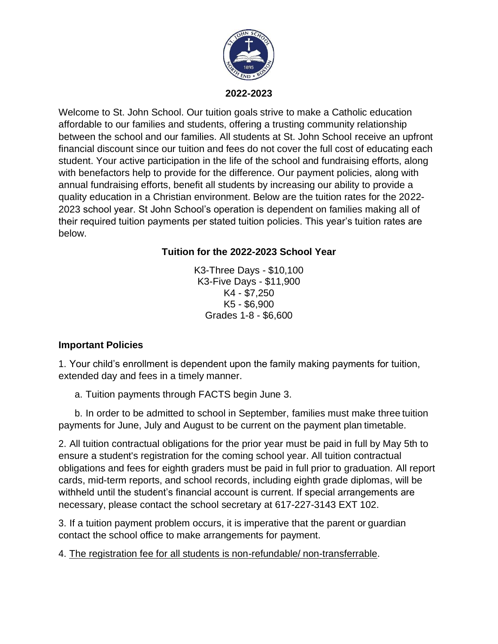

Welcome to St. John School. Our tuition goals strive to make a Catholic education affordable to our families and students, offering a trusting community relationship between the school and our families. All students at St. John School receive an upfront financial discount since our tuition and fees do not cover the full cost of educating each student. Your active participation in the life of the school and fundraising efforts, along with benefactors help to provide for the difference. Our payment policies, along with annual fundraising efforts, benefit all students by increasing our ability to provide a quality education in a Christian environment. Below are the tuition rates for the 2022- 2023 school year. St John School's operation is dependent on families making all of their required tuition payments per stated tuition policies. This year's tuition rates are below.

## **Tuition for the 2022-2023 School Year**

K3-Three Days - \$10,100 K3-Five Days - \$11,900 K4 - \$7,250 K5 - \$6,900 Grades 1-8 - \$6,600

## **Important Policies**

1. Your child's enrollment is dependent upon the family making payments for tuition, extended day and fees in a timely manner.

a. Tuition payments through FACTS begin June 3.

b. In order to be admitted to school in September, families must make three tuition payments for June, July and August to be current on the payment plan timetable.

2. All tuition contractual obligations for the prior year must be paid in full by May 5th to ensure a student's registration for the coming school year. All tuition contractual obligations and fees for eighth graders must be paid in full prior to graduation. All report cards, mid-term reports, and school records, including eighth grade diplomas, will be withheld until the student's financial account is current. If special arrangements are necessary, please contact the school secretary at 617-227-3143 EXT 102.

3. If a tuition payment problem occurs, it is imperative that the parent or guardian contact the school office to make arrangements for payment.

4. The registration fee for all students is non-refundable/ non-transferrable.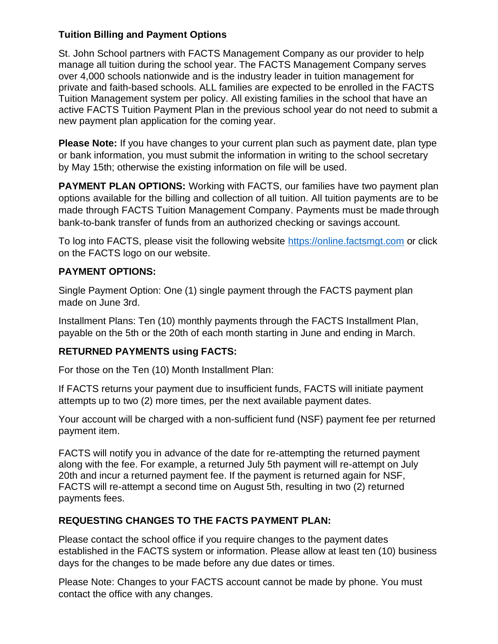## **Tuition Billing and Payment Options**

St. John School partners with FACTS Management Company as our provider to help manage all tuition during the school year. The FACTS Management Company serves over 4,000 schools nationwide and is the industry leader in tuition management for private and faith-based schools. ALL families are expected to be enrolled in the FACTS Tuition Management system per policy. All existing families in the school that have an active FACTS Tuition Payment Plan in the previous school year do not need to submit a new payment plan application for the coming year.

**Please Note:** If you have changes to your current plan such as payment date, plan type or bank information, you must submit the information in writing to the school secretary by May 15th; otherwise the existing information on file will be used.

**PAYMENT PLAN OPTIONS:** Working with FACTS, our families have two payment plan options available for the billing and collection of all tuition. All tuition payments are to be made through FACTS Tuition Management Company. Payments must be made through bank-to-bank transfer of funds from an authorized checking or savings account.

To log into FACTS, please visit the following website [https://online.factsmgt.com](https://online.factsmgt.com/) or click on the FACTS logo on our website.

# **PAYMENT OPTIONS:**

Single Payment Option: One (1) single payment through the FACTS payment plan made on June 3rd.

Installment Plans: Ten (10) monthly payments through the FACTS Installment Plan, payable on the 5th or the 20th of each month starting in June and ending in March.

# **RETURNED PAYMENTS using FACTS:**

For those on the Ten (10) Month Installment Plan:

If FACTS returns your payment due to insufficient funds, FACTS will initiate payment attempts up to two (2) more times, per the next available payment dates.

Your account will be charged with a non-sufficient fund (NSF) payment fee per returned payment item.

FACTS will notify you in advance of the date for re-attempting the returned payment along with the fee. For example, a returned July 5th payment will re-attempt on July 20th and incur a returned payment fee. If the payment is returned again for NSF, FACTS will re-attempt a second time on August 5th, resulting in two (2) returned payments fees.

# **REQUESTING CHANGES TO THE FACTS PAYMENT PLAN:**

Please contact the school office if you require changes to the payment dates established in the FACTS system or information. Please allow at least ten (10) business days for the changes to be made before any due dates or times.

Please Note: Changes to your FACTS account cannot be made by phone. You must contact the office with any changes.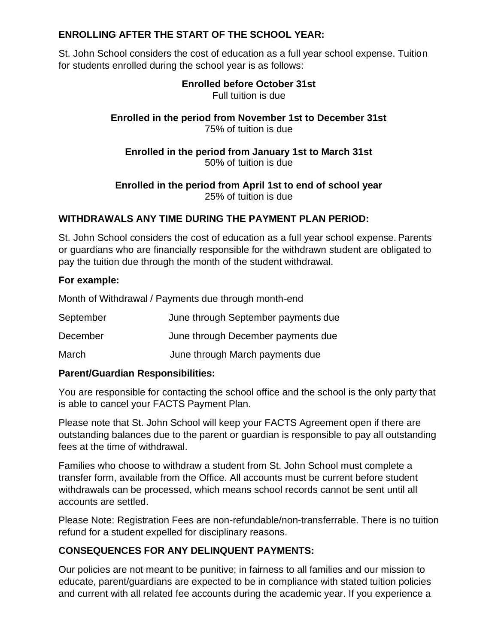### **ENROLLING AFTER THE START OF THE SCHOOL YEAR:**

St. John School considers the cost of education as a full year school expense. Tuition for students enrolled during the school year is as follows:

#### **Enrolled before October 31st** Full tuition is due

## **Enrolled in the period from November 1st to December 31st** 75% of tuition is due

## **Enrolled in the period from January 1st to March 31st** 50% of tuition is due

#### **Enrolled in the period from April 1st to end of school year** 25% of tuition is due

# **WITHDRAWALS ANY TIME DURING THE PAYMENT PLAN PERIOD:**

St. John School considers the cost of education as a full year school expense. Parents or guardians who are financially responsible for the withdrawn student are obligated to pay the tuition due through the month of the student withdrawal.

#### **For example:**

Month of Withdrawal / Payments due through month-end

| September | June through September payments due |
|-----------|-------------------------------------|
|           |                                     |

December June through December payments due

March June through March payments due

## **Parent/Guardian Responsibilities:**

You are responsible for contacting the school office and the school is the only party that is able to cancel your FACTS Payment Plan.

Please note that St. John School will keep your FACTS Agreement open if there are outstanding balances due to the parent or guardian is responsible to pay all outstanding fees at the time of withdrawal.

Families who choose to withdraw a student from St. John School must complete a transfer form, available from the Office. All accounts must be current before student withdrawals can be processed, which means school records cannot be sent until all accounts are settled.

Please Note: Registration Fees are non-refundable/non-transferrable. There is no tuition refund for a student expelled for disciplinary reasons.

## **CONSEQUENCES FOR ANY DELINQUENT PAYMENTS:**

Our policies are not meant to be punitive; in fairness to all families and our mission to educate, parent/guardians are expected to be in compliance with stated tuition policies and current with all related fee accounts during the academic year. If you experience a